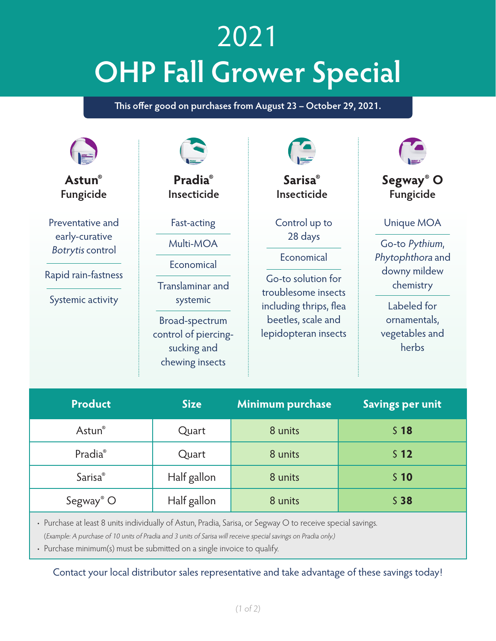## 2021 **OHP Fall Grower Special**

This offer good on purchases from August 23 - October 29, 2021.

| Astun®<br>Fungicide                                                                                       | <b>Pradia</b> ®<br>Insecticide                                                                                                                            | <b>Sarisa</b> ®<br>Insecticide                                                                                                                              | Segway <sup>®</sup> O<br>Fungicide                                                                                                      |
|-----------------------------------------------------------------------------------------------------------|-----------------------------------------------------------------------------------------------------------------------------------------------------------|-------------------------------------------------------------------------------------------------------------------------------------------------------------|-----------------------------------------------------------------------------------------------------------------------------------------|
| Preventative and<br>early-curative<br><b>Botrytis control</b><br>Rapid rain-fastness<br>Systemic activity | Fast-acting<br>Multi-MOA<br>Economical<br><b>Translaminar and</b><br>systemic<br>Broad-spectrum<br>control of piercing-<br>sucking and<br>chewing insects | Control up to<br>28 days<br>Economical<br>Go-to solution for<br>troublesome insects<br>including thrips, flea<br>beetles, scale and<br>lepidopteran insects | Unique MOA<br>Go-to Pythium,<br>Phytophthora and<br>downy mildew<br>chemistry<br>Labeled for<br>ornamentals,<br>vegetables and<br>herbs |
| <b>Product</b>                                                                                            | <b>Size</b>                                                                                                                                               | Minimum purchase                                                                                                                                            | <b>Savings per unit</b>                                                                                                                 |

| Astun®                     | Quart       | 8 units | S <sub>18</sub> |
|----------------------------|-------------|---------|-----------------|
| Pradia®                    | Quart       | 8 units | 512             |
| <b>Sarisa</b> <sup>®</sup> | Half gallon | 8 units | \$10            |
| Segway <sup>®</sup> O      | Half gallon | 8 units | S <sub>38</sub> |

• Purchase at least 8 units individually of Astun, Pradia, Sarisa, or Segway O to receive special savings. (Example: A purchase of 10 units of Pradia and 3 units of Sarisa will receive special savings on Pradia only.)

• Purchase minimum(s) must be submitted on a single invoice to qualify.

Contact your local distributor sales representative and take advantage of these savings today!